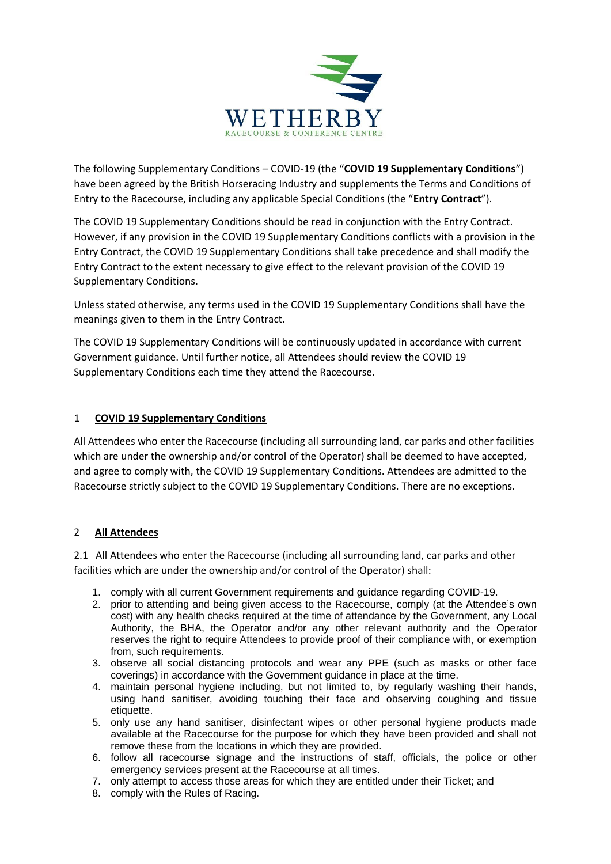

The following Supplementary Conditions – COVID-19 (the "**COVID 19 Supplementary Conditions**") have been agreed by the British Horseracing Industry and supplements the Terms and Conditions of Entry to the Racecourse, including any applicable Special Conditions (the "**Entry Contract**").

The COVID 19 Supplementary Conditions should be read in conjunction with the Entry Contract. However, if any provision in the COVID 19 Supplementary Conditions conflicts with a provision in the Entry Contract, the COVID 19 Supplementary Conditions shall take precedence and shall modify the Entry Contract to the extent necessary to give effect to the relevant provision of the COVID 19 Supplementary Conditions.

Unless stated otherwise, any terms used in the COVID 19 Supplementary Conditions shall have the meanings given to them in the Entry Contract.

The COVID 19 Supplementary Conditions will be continuously updated in accordance with current Government guidance. Until further notice, all Attendees should review the COVID 19 Supplementary Conditions each time they attend the Racecourse.

### 1 **COVID 19 Supplementary Conditions**

All Attendees who enter the Racecourse (including all surrounding land, car parks and other facilities which are under the ownership and/or control of the Operator) shall be deemed to have accepted, and agree to comply with, the COVID 19 Supplementary Conditions. Attendees are admitted to the Racecourse strictly subject to the COVID 19 Supplementary Conditions. There are no exceptions.

### 2 **All Attendees**

2.1 All Attendees who enter the Racecourse (including all surrounding land, car parks and other facilities which are under the ownership and/or control of the Operator) shall:

- 1. comply with all current Government requirements and guidance regarding COVID-19.
- 2. prior to attending and being given access to the Racecourse, comply (at the Attendee's own cost) with any health checks required at the time of attendance by the Government, any Local Authority, the BHA, the Operator and/or any other relevant authority and the Operator reserves the right to require Attendees to provide proof of their compliance with, or exemption from, such requirements.
- 3. observe all social distancing protocols and wear any PPE (such as masks or other face coverings) in accordance with the Government guidance in place at the time.
- 4. maintain personal hygiene including, but not limited to, by regularly washing their hands, using hand sanitiser, avoiding touching their face and observing coughing and tissue etiquette.
- 5. only use any hand sanitiser, disinfectant wipes or other personal hygiene products made available at the Racecourse for the purpose for which they have been provided and shall not remove these from the locations in which they are provided.
- 6. follow all racecourse signage and the instructions of staff, officials, the police or other emergency services present at the Racecourse at all times.
- 7. only attempt to access those areas for which they are entitled under their Ticket; and
- 8. comply with the Rules of Racing.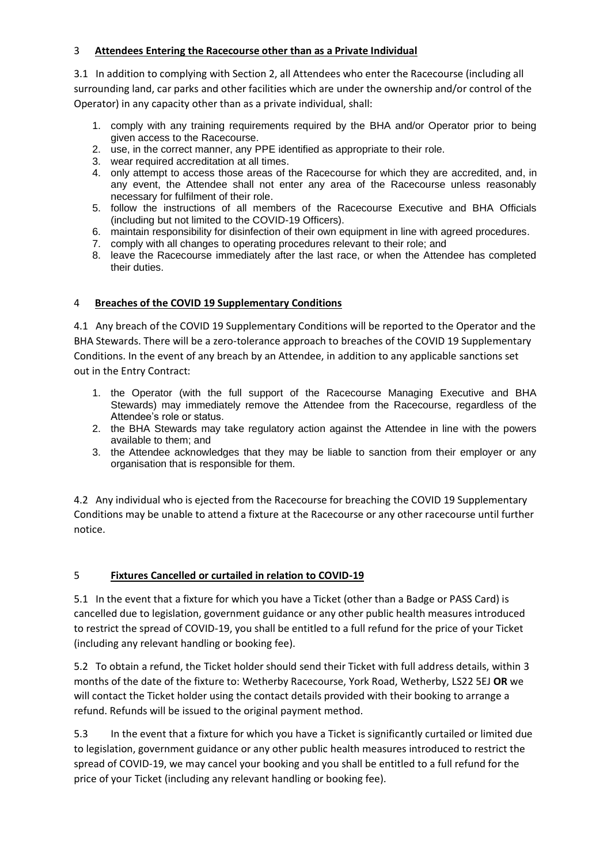### 3 **Attendees Entering the Racecourse other than as a Private Individual**

3.1 In addition to complying with Section 2, all Attendees who enter the Racecourse (including all surrounding land, car parks and other facilities which are under the ownership and/or control of the Operator) in any capacity other than as a private individual, shall:

- 1. comply with any training requirements required by the BHA and/or Operator prior to being given access to the Racecourse.
- 2. use, in the correct manner, any PPE identified as appropriate to their role.
- 3. wear required accreditation at all times.
- 4. only attempt to access those areas of the Racecourse for which they are accredited, and, in any event, the Attendee shall not enter any area of the Racecourse unless reasonably necessary for fulfilment of their role.
- 5. follow the instructions of all members of the Racecourse Executive and BHA Officials (including but not limited to the COVID-19 Officers).
- 6. maintain responsibility for disinfection of their own equipment in line with agreed procedures.
- 7. comply with all changes to operating procedures relevant to their role; and
- 8. leave the Racecourse immediately after the last race, or when the Attendee has completed their duties.

### 4 **Breaches of the COVID 19 Supplementary Conditions**

4.1 Any breach of the COVID 19 Supplementary Conditions will be reported to the Operator and the BHA Stewards. There will be a zero-tolerance approach to breaches of the COVID 19 Supplementary Conditions. In the event of any breach by an Attendee, in addition to any applicable sanctions set out in the Entry Contract:

- 1. the Operator (with the full support of the Racecourse Managing Executive and BHA Stewards) may immediately remove the Attendee from the Racecourse, regardless of the Attendee's role or status.
- 2. the BHA Stewards may take regulatory action against the Attendee in line with the powers available to them; and
- 3. the Attendee acknowledges that they may be liable to sanction from their employer or any organisation that is responsible for them.

4.2 Any individual who is ejected from the Racecourse for breaching the COVID 19 Supplementary Conditions may be unable to attend a fixture at the Racecourse or any other racecourse until further notice.

### 5 **Fixtures Cancelled or curtailed in relation to COVID-19**

5.1 In the event that a fixture for which you have a Ticket (other than a Badge or PASS Card) is cancelled due to legislation, government guidance or any other public health measures introduced to restrict the spread of COVID-19, you shall be entitled to a full refund for the price of your Ticket (including any relevant handling or booking fee).

5.2 To obtain a refund, the Ticket holder should send their Ticket with full address details, within 3 months of the date of the fixture to: Wetherby Racecourse, York Road, Wetherby, LS22 5EJ **OR** we will contact the Ticket holder using the contact details provided with their booking to arrange a refund. Refunds will be issued to the original payment method.

5.3 In the event that a fixture for which you have a Ticket is significantly curtailed or limited due to legislation, government guidance or any other public health measures introduced to restrict the spread of COVID-19, we may cancel your booking and you shall be entitled to a full refund for the price of your Ticket (including any relevant handling or booking fee).